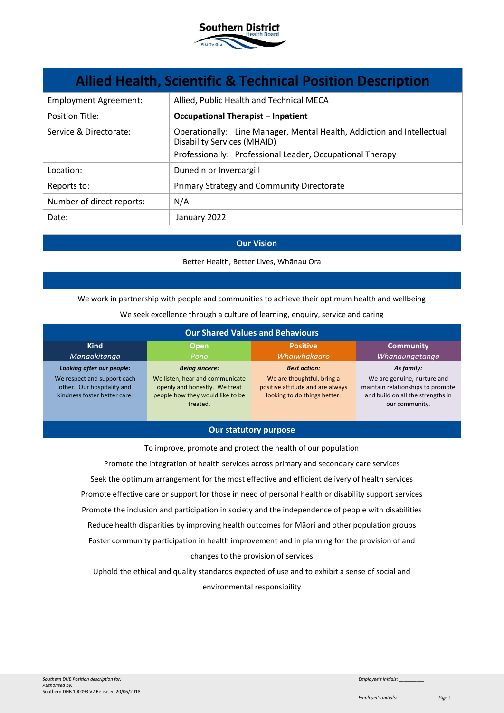

| <b>Allied Health, Scientific &amp; Technical Position Description</b> |                                                                                                                                                                           |  |
|-----------------------------------------------------------------------|---------------------------------------------------------------------------------------------------------------------------------------------------------------------------|--|
| <b>Employment Agreement:</b>                                          | Allied, Public Health and Technical MECA                                                                                                                                  |  |
| <b>Position Title:</b>                                                | <b>Occupational Therapist - Inpatient</b>                                                                                                                                 |  |
| Service & Directorate:                                                | Operationally: Line Manager, Mental Health, Addiction and Intellectual<br><b>Disability Services (MHAID)</b><br>Professionally: Professional Leader, Occupational Therapy |  |
| Location:                                                             | Dunedin or Invercargill                                                                                                                                                   |  |
| Reports to:                                                           | Primary Strategy and Community Directorate                                                                                                                                |  |
| Number of direct reports:                                             | N/A                                                                                                                                                                       |  |
| Date:                                                                 | January 2022                                                                                                                                                              |  |

## **Our Vision**

Better Health, Better Lives, Whānau Ora

We work in partnership with people and communities to achieve their optimum health and wellbeing

We seek excellence through a culture of learning, enquiry, service and caring

| <b>Our Shared Values and Behaviours</b>                                                   |                                                                                                                  |                                                                                                |                                                                                                                         |
|-------------------------------------------------------------------------------------------|------------------------------------------------------------------------------------------------------------------|------------------------------------------------------------------------------------------------|-------------------------------------------------------------------------------------------------------------------------|
| <b>Kind</b><br>Manaakitanga                                                               | <b>Open</b><br>Pono                                                                                              | <b>Positive</b><br>Whaiwhakaaro                                                                | <b>Community</b><br>Whanaungatanga                                                                                      |
| Looking after our people:                                                                 | <b>Being sincere:</b>                                                                                            | <b>Best action:</b>                                                                            | As family:                                                                                                              |
| We respect and support each<br>other. Our hospitality and<br>kindness foster better care. | We listen, hear and communicate<br>openly and honestly. We treat<br>people how they would like to be<br>treated. | We are thoughtful, bring a<br>positive attitude and are always<br>looking to do things better. | We are genuine, nurture and<br>maintain relationships to promote<br>and build on all the strengths in<br>our community. |

# **Our statutory purpose**

To improve, promote and protect the health of our population

Promote the integration of health services across primary and secondary care services Seek the optimum arrangement for the most effective and efficient delivery of health services Promote effective care or support for those in need of personal health or disability support services Promote the inclusion and participation in society and the independence of people with disabilities Reduce health disparities by improving health outcomes for Māori and other population groups Foster community participation in health improvement and in planning for the provision of and changes to the provision of services

Uphold the ethical and quality standards expected of use and to exhibit a sense of social and environmental responsibility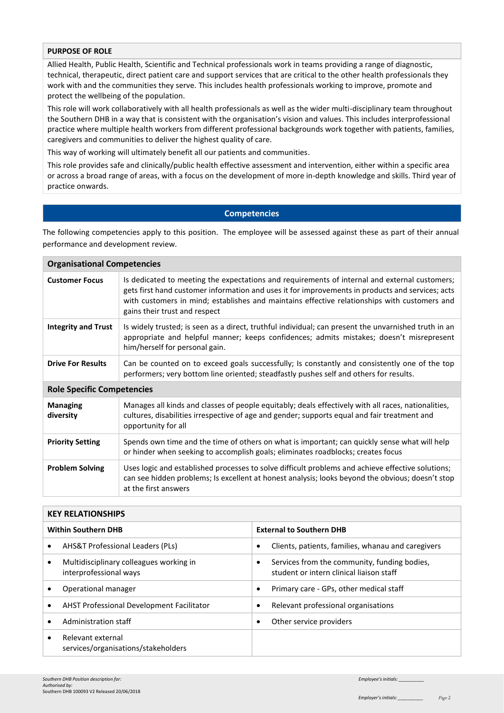# **PURPOSE OF ROLE**

Allied Health, Public Health, Scientific and Technical professionals work in teams providing a range of diagnostic, technical, therapeutic, direct patient care and support services that are critical to the other health professionals they work with and the communities they serve. This includes health professionals working to improve, promote and protect the wellbeing of the population.

This role will work collaboratively with all health professionals as well as the wider multi-disciplinary team throughout the Southern DHB in a way that is consistent with the organisation's vision and values. This includes interprofessional practice where multiple health workers from different professional backgrounds work together with patients, families, caregivers and communities to deliver the highest quality of care.

This way of working will ultimately benefit all our patients and communities.

This role provides safe and clinically/public health effective assessment and intervention, either within a specific area or across a broad range of areas, with a focus on the development of more in-depth knowledge and skills. Third year of practice onwards.

### **Competencies**

The following competencies apply to this position. The employee will be assessed against these as part of their annual performance and development review.

| <b>Organisational Competencies</b> |                                                                                                                                                                                                                                                                                                                                    |  |  |
|------------------------------------|------------------------------------------------------------------------------------------------------------------------------------------------------------------------------------------------------------------------------------------------------------------------------------------------------------------------------------|--|--|
| <b>Customer Focus</b>              | Is dedicated to meeting the expectations and requirements of internal and external customers;<br>gets first hand customer information and uses it for improvements in products and services; acts<br>with customers in mind; establishes and maintains effective relationships with customers and<br>gains their trust and respect |  |  |
| <b>Integrity and Trust</b>         | Is widely trusted; is seen as a direct, truthful individual; can present the unvarnished truth in an<br>appropriate and helpful manner; keeps confidences; admits mistakes; doesn't misrepresent<br>him/herself for personal gain.                                                                                                 |  |  |
| <b>Drive For Results</b>           | Can be counted on to exceed goals successfully; Is constantly and consistently one of the top<br>performers; very bottom line oriented; steadfastly pushes self and others for results.                                                                                                                                            |  |  |
| <b>Role Specific Competencies</b>  |                                                                                                                                                                                                                                                                                                                                    |  |  |
| <b>Managing</b><br>diversity       | Manages all kinds and classes of people equitably; deals effectively with all races, nationalities,<br>cultures, disabilities irrespective of age and gender; supports equal and fair treatment and<br>opportunity for all                                                                                                         |  |  |
| <b>Priority Setting</b>            | Spends own time and the time of others on what is important; can quickly sense what will help<br>or hinder when seeking to accomplish goals; eliminates roadblocks; creates focus                                                                                                                                                  |  |  |
| <b>Problem Solving</b>             | Uses logic and established processes to solve difficult problems and achieve effective solutions;<br>can see hidden problems; Is excellent at honest analysis; looks beyond the obvious; doesn't stop<br>at the first answers                                                                                                      |  |  |

| <b>KEY RELATIONSHIPS</b>   |                                                                   |                                 |                                                                                          |
|----------------------------|-------------------------------------------------------------------|---------------------------------|------------------------------------------------------------------------------------------|
| <b>Within Southern DHB</b> |                                                                   | <b>External to Southern DHB</b> |                                                                                          |
|                            | <b>AHS&amp;T Professional Leaders (PLs)</b>                       | ٠                               | Clients, patients, families, whanau and caregivers                                       |
|                            | Multidisciplinary colleagues working in<br>interprofessional ways | ٠                               | Services from the community, funding bodies,<br>student or intern clinical liaison staff |
|                            | Operational manager                                               | ٠                               | Primary care - GPs, other medical staff                                                  |
|                            | AHST Professional Development Facilitator                         | ٠                               | Relevant professional organisations                                                      |
|                            | Administration staff                                              | ٠                               | Other service providers                                                                  |
|                            | Relevant external<br>services/organisations/stakeholders          |                                 |                                                                                          |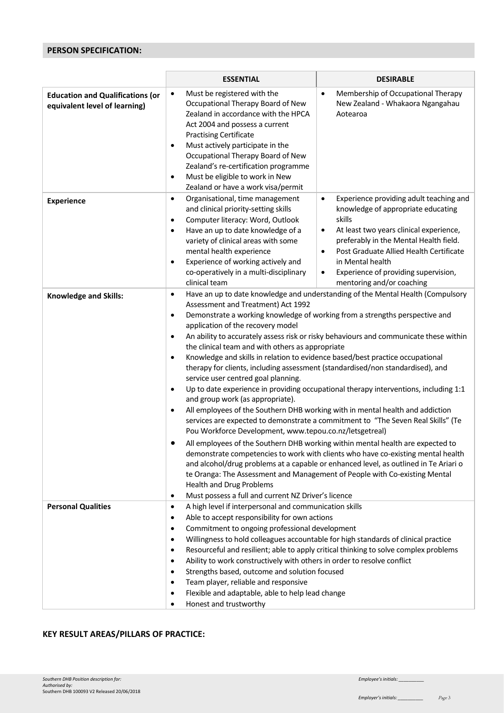# **PERSON SPECIFICATION:**

|                                                                          | <b>ESSENTIAL</b>                                                                                                                                                                                                                                                                                                                                                                                                                                                                                                      | <b>DESIRABLE</b>                                                                                                                                                                                                                                                                                                                                                                                                                                                                                                                                                                                                                                                                                                                                                                                                                                                                                                                                                                                                                                                                                                                                   |  |  |  |
|--------------------------------------------------------------------------|-----------------------------------------------------------------------------------------------------------------------------------------------------------------------------------------------------------------------------------------------------------------------------------------------------------------------------------------------------------------------------------------------------------------------------------------------------------------------------------------------------------------------|----------------------------------------------------------------------------------------------------------------------------------------------------------------------------------------------------------------------------------------------------------------------------------------------------------------------------------------------------------------------------------------------------------------------------------------------------------------------------------------------------------------------------------------------------------------------------------------------------------------------------------------------------------------------------------------------------------------------------------------------------------------------------------------------------------------------------------------------------------------------------------------------------------------------------------------------------------------------------------------------------------------------------------------------------------------------------------------------------------------------------------------------------|--|--|--|
| <b>Education and Qualifications (or</b><br>equivalent level of learning) | Must be registered with the<br>$\bullet$<br>Occupational Therapy Board of New<br>Zealand in accordance with the HPCA<br>Act 2004 and possess a current<br><b>Practising Certificate</b><br>Must actively participate in the<br>$\bullet$<br>Occupational Therapy Board of New<br>Zealand's re-certification programme<br>Must be eligible to work in New<br>$\bullet$<br>Zealand or have a work visa/permit                                                                                                           | Membership of Occupational Therapy<br>$\bullet$<br>New Zealand - Whakaora Ngangahau<br>Aotearoa                                                                                                                                                                                                                                                                                                                                                                                                                                                                                                                                                                                                                                                                                                                                                                                                                                                                                                                                                                                                                                                    |  |  |  |
| <b>Experience</b>                                                        | Organisational, time management<br>$\bullet$<br>and clinical priority-setting skills<br>Computer literacy: Word, Outlook<br>$\bullet$<br>Have an up to date knowledge of a<br>$\bullet$<br>variety of clinical areas with some<br>mental health experience<br>Experience of working actively and<br>٠<br>co-operatively in a multi-disciplinary<br>clinical team                                                                                                                                                      | Experience providing adult teaching and<br>$\bullet$<br>knowledge of appropriate educating<br>skills<br>At least two years clinical experience,<br>$\bullet$<br>preferably in the Mental Health field.<br>Post Graduate Allied Health Certificate<br>$\bullet$<br>in Mental health<br>Experience of providing supervision,<br>$\bullet$<br>mentoring and/or coaching                                                                                                                                                                                                                                                                                                                                                                                                                                                                                                                                                                                                                                                                                                                                                                               |  |  |  |
| <b>Knowledge and Skills:</b>                                             | $\bullet$<br>Assessment and Treatment) Act 1992<br>$\bullet$<br>application of the recovery model<br>$\bullet$<br>$\bullet$<br>service user centred goal planning.<br>$\bullet$<br>and group work (as appropriate).<br>$\bullet$<br>$\bullet$<br><b>Health and Drug Problems</b><br>Must possess a full and current NZ Driver's licence<br>$\bullet$                                                                                                                                                                  | Have an up to date knowledge and understanding of the Mental Health (Compulsory<br>Demonstrate a working knowledge of working from a strengths perspective and<br>An ability to accurately assess risk or risky behaviours and communicate these within<br>the clinical team and with others as appropriate<br>Knowledge and skills in relation to evidence based/best practice occupational<br>therapy for clients, including assessment (standardised/non standardised), and<br>Up to date experience in providing occupational therapy interventions, including 1:1<br>All employees of the Southern DHB working with in mental health and addiction<br>services are expected to demonstrate a commitment to "The Seven Real Skills" (Te<br>Pou Workforce Development, www.tepou.co.nz/letsgetreal)<br>All employees of the Southern DHB working within mental health are expected to<br>demonstrate competencies to work with clients who have co-existing mental health<br>and alcohol/drug problems at a capable or enhanced level, as outlined in Te Ariari o<br>te Oranga: The Assessment and Management of People with Co-existing Mental |  |  |  |
| <b>Personal Qualities</b>                                                | A high level if interpersonal and communication skills<br>$\bullet$<br>Able to accept responsibility for own actions<br>٠<br>Commitment to ongoing professional development<br>$\bullet$<br>$\bullet$<br>$\bullet$<br>Ability to work constructively with others in order to resolve conflict<br>$\bullet$<br>Strengths based, outcome and solution focused<br>٠<br>Team player, reliable and responsive<br>٠<br>Flexible and adaptable, able to help lead change<br>$\bullet$<br>Honest and trustworthy<br>$\bullet$ | Willingness to hold colleagues accountable for high standards of clinical practice<br>Resourceful and resilient; able to apply critical thinking to solve complex problems                                                                                                                                                                                                                                                                                                                                                                                                                                                                                                                                                                                                                                                                                                                                                                                                                                                                                                                                                                         |  |  |  |

# **KEY RESULT AREAS/PILLARS OF PRACTICE:**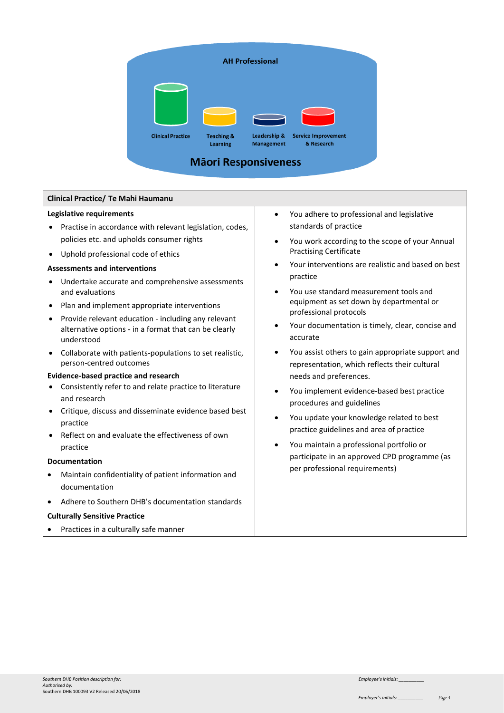

# **Clinical Practice/ Te Mahi Haumanu**

#### **Legislative requirements**

- Practise in accordance with relevant legislation, codes, policies etc. and upholds consumer rights
- Uphold professional code of ethics

#### **Assessments and interventions**

- Undertake accurate and comprehensive assessments and evaluations
- Plan and implement appropriate interventions
- Provide relevant education including any relevant alternative options - in a format that can be clearly understood
- Collaborate with patients-populations to set realistic, person-centred outcomes

### **Evidence-based practice and research**

- Consistently refer to and relate practice to literature and research
- Critique, discuss and disseminate evidence based best practice
- Reflect on and evaluate the effectiveness of own practice

### **Documentation**

- Maintain confidentiality of patient information and documentation
- Adhere to Southern DHB's documentation standards

### **Culturally Sensitive Practice**

• Practices in a culturally safe manner

- You adhere to professional and legislative standards of practice
- You work according to the scope of your Annual Practising Certificate
- Your interventions are realistic and based on best practice
- You use standard measurement tools and equipment as set down by departmental or professional protocols
- Your documentation is timely, clear, concise and accurate
- You assist others to gain appropriate support and representation, which reflects their cultural needs and preferences.
- You implement evidence-based best practice procedures and guidelines
- You update your knowledge related to best practice guidelines and area of practice
- You maintain a professional portfolio or participate in an approved CPD programme (as per professional requirements)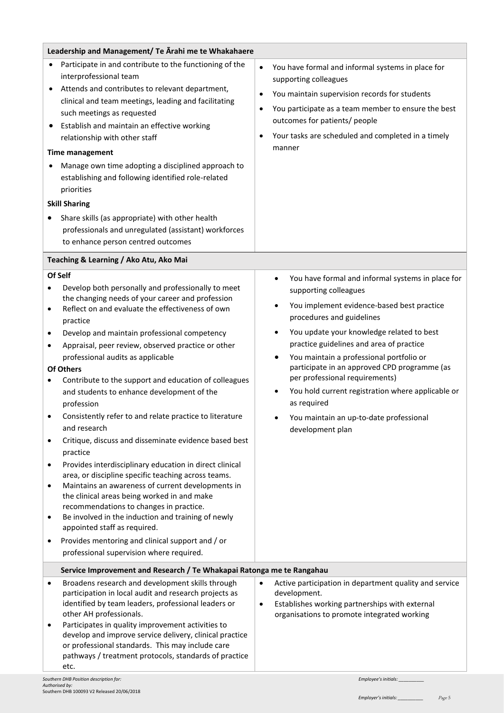| Leadership and Management/ Te Arahi me te Whakahaere |                                                                                                                                                                                                                                                                                                                                                                                                                                                                                                                                                                                                                                                                                                                                                                                                                                                                                                                                                                                                                                                                              |                                                  |                                                                                                                                                                                                                                                                                                                                                                                                                                                                                                                                   |
|------------------------------------------------------|------------------------------------------------------------------------------------------------------------------------------------------------------------------------------------------------------------------------------------------------------------------------------------------------------------------------------------------------------------------------------------------------------------------------------------------------------------------------------------------------------------------------------------------------------------------------------------------------------------------------------------------------------------------------------------------------------------------------------------------------------------------------------------------------------------------------------------------------------------------------------------------------------------------------------------------------------------------------------------------------------------------------------------------------------------------------------|--------------------------------------------------|-----------------------------------------------------------------------------------------------------------------------------------------------------------------------------------------------------------------------------------------------------------------------------------------------------------------------------------------------------------------------------------------------------------------------------------------------------------------------------------------------------------------------------------|
|                                                      | Participate in and contribute to the functioning of the<br>interprofessional team<br>Attends and contributes to relevant department,<br>clinical and team meetings, leading and facilitating<br>such meetings as requested<br>Establish and maintain an effective working<br>relationship with other staff<br><b>Time management</b><br>Manage own time adopting a disciplined approach to<br>establishing and following identified role-related<br>priorities<br><b>Skill Sharing</b><br>Share skills (as appropriate) with other health<br>professionals and unregulated (assistant) workforces<br>to enhance person centred outcomes                                                                                                                                                                                                                                                                                                                                                                                                                                      | $\bullet$<br>$\bullet$<br>$\bullet$<br>$\bullet$ | You have formal and informal systems in place for<br>supporting colleagues<br>You maintain supervision records for students<br>You participate as a team member to ensure the best<br>outcomes for patients/ people<br>Your tasks are scheduled and completed in a timely<br>manner                                                                                                                                                                                                                                               |
|                                                      | Teaching & Learning / Ako Atu, Ako Mai                                                                                                                                                                                                                                                                                                                                                                                                                                                                                                                                                                                                                                                                                                                                                                                                                                                                                                                                                                                                                                       |                                                  |                                                                                                                                                                                                                                                                                                                                                                                                                                                                                                                                   |
| $\bullet$<br>٠<br>$\bullet$<br>$\bullet$             | Of Self<br>Develop both personally and professionally to meet<br>the changing needs of your career and profession<br>Reflect on and evaluate the effectiveness of own<br>practice<br>Develop and maintain professional competency<br>Appraisal, peer review, observed practice or other<br>professional audits as applicable<br><b>Of Others</b><br>Contribute to the support and education of colleagues<br>and students to enhance development of the<br>profession<br>Consistently refer to and relate practice to literature<br>and research<br>Critique, discuss and disseminate evidence based best<br>practice<br>Provides interdisciplinary education in direct clinical<br>area, or discipline specific teaching across teams.<br>Maintains an awareness of current developments in<br>the clinical areas being worked in and make<br>recommendations to changes in practice.<br>Be involved in the induction and training of newly<br>appointed staff as required.<br>Provides mentoring and clinical support and / or<br>professional supervision where required. |                                                  | You have formal and informal systems in place for<br>$\bullet$<br>supporting colleagues<br>You implement evidence-based best practice<br>٠<br>procedures and guidelines<br>You update your knowledge related to best<br>practice guidelines and area of practice<br>You maintain a professional portfolio or<br>participate in an approved CPD programme (as<br>per professional requirements)<br>You hold current registration where applicable or<br>as required<br>You maintain an up-to-date professional<br>development plan |
|                                                      | Service Improvement and Research / Te Whakapai Ratonga me te Rangahau<br>Broadens research and development skills through<br>participation in local audit and research projects as<br>identified by team leaders, professional leaders or<br>other AH professionals.<br>Participates in quality improvement activities to<br>develop and improve service delivery, clinical practice<br>or professional standards. This may include care<br>pathways / treatment protocols, standards of practice<br>etc.                                                                                                                                                                                                                                                                                                                                                                                                                                                                                                                                                                    | $\bullet$<br>$\bullet$                           | Active participation in department quality and service<br>development.<br>Establishes working partnerships with external<br>organisations to promote integrated working                                                                                                                                                                                                                                                                                                                                                           |
|                                                      | Southern DHR Position description for                                                                                                                                                                                                                                                                                                                                                                                                                                                                                                                                                                                                                                                                                                                                                                                                                                                                                                                                                                                                                                        |                                                  | Employee's initials                                                                                                                                                                                                                                                                                                                                                                                                                                                                                                               |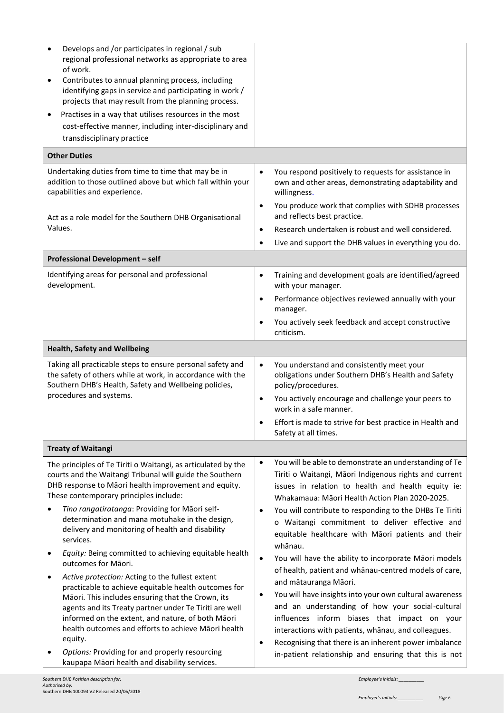| Develops and /or participates in regional / sub<br>regional professional networks as appropriate to area<br>of work.<br>Contributes to annual planning process, including<br>٠<br>identifying gaps in service and participating in work /<br>projects that may result from the planning process.<br>Practises in a way that utilises resources in the most<br>٠<br>cost-effective manner, including inter-disciplinary and<br>transdisciplinary practice                                                                                                                                                                                                                                                                                                                                                                               |                                                                                                                                                                                                                                                                                                                                                                                                                                                                                                                                                                                                                                                                                                                                                                                                                                                                                                   |
|----------------------------------------------------------------------------------------------------------------------------------------------------------------------------------------------------------------------------------------------------------------------------------------------------------------------------------------------------------------------------------------------------------------------------------------------------------------------------------------------------------------------------------------------------------------------------------------------------------------------------------------------------------------------------------------------------------------------------------------------------------------------------------------------------------------------------------------|---------------------------------------------------------------------------------------------------------------------------------------------------------------------------------------------------------------------------------------------------------------------------------------------------------------------------------------------------------------------------------------------------------------------------------------------------------------------------------------------------------------------------------------------------------------------------------------------------------------------------------------------------------------------------------------------------------------------------------------------------------------------------------------------------------------------------------------------------------------------------------------------------|
| <b>Other Duties</b>                                                                                                                                                                                                                                                                                                                                                                                                                                                                                                                                                                                                                                                                                                                                                                                                                    |                                                                                                                                                                                                                                                                                                                                                                                                                                                                                                                                                                                                                                                                                                                                                                                                                                                                                                   |
| Undertaking duties from time to time that may be in<br>addition to those outlined above but which fall within your<br>capabilities and experience.<br>Act as a role model for the Southern DHB Organisational                                                                                                                                                                                                                                                                                                                                                                                                                                                                                                                                                                                                                          | You respond positively to requests for assistance in<br>$\bullet$<br>own and other areas, demonstrating adaptability and<br>willingness.<br>You produce work that complies with SDHB processes<br>$\bullet$<br>and reflects best practice.                                                                                                                                                                                                                                                                                                                                                                                                                                                                                                                                                                                                                                                        |
| Values.                                                                                                                                                                                                                                                                                                                                                                                                                                                                                                                                                                                                                                                                                                                                                                                                                                | Research undertaken is robust and well considered.<br>$\bullet$                                                                                                                                                                                                                                                                                                                                                                                                                                                                                                                                                                                                                                                                                                                                                                                                                                   |
|                                                                                                                                                                                                                                                                                                                                                                                                                                                                                                                                                                                                                                                                                                                                                                                                                                        | Live and support the DHB values in everything you do.<br>$\bullet$                                                                                                                                                                                                                                                                                                                                                                                                                                                                                                                                                                                                                                                                                                                                                                                                                                |
| Professional Development - self                                                                                                                                                                                                                                                                                                                                                                                                                                                                                                                                                                                                                                                                                                                                                                                                        |                                                                                                                                                                                                                                                                                                                                                                                                                                                                                                                                                                                                                                                                                                                                                                                                                                                                                                   |
| Identifying areas for personal and professional<br>development.                                                                                                                                                                                                                                                                                                                                                                                                                                                                                                                                                                                                                                                                                                                                                                        | Training and development goals are identified/agreed<br>$\bullet$<br>with your manager.<br>Performance objectives reviewed annually with your<br>$\bullet$<br>manager.<br>You actively seek feedback and accept constructive<br>$\bullet$                                                                                                                                                                                                                                                                                                                                                                                                                                                                                                                                                                                                                                                         |
|                                                                                                                                                                                                                                                                                                                                                                                                                                                                                                                                                                                                                                                                                                                                                                                                                                        | criticism.                                                                                                                                                                                                                                                                                                                                                                                                                                                                                                                                                                                                                                                                                                                                                                                                                                                                                        |
| <b>Health, Safety and Wellbeing</b>                                                                                                                                                                                                                                                                                                                                                                                                                                                                                                                                                                                                                                                                                                                                                                                                    |                                                                                                                                                                                                                                                                                                                                                                                                                                                                                                                                                                                                                                                                                                                                                                                                                                                                                                   |
| Taking all practicable steps to ensure personal safety and<br>the safety of others while at work, in accordance with the<br>Southern DHB's Health, Safety and Wellbeing policies,<br>procedures and systems.                                                                                                                                                                                                                                                                                                                                                                                                                                                                                                                                                                                                                           | You understand and consistently meet your<br>$\bullet$<br>obligations under Southern DHB's Health and Safety<br>policy/procedures.<br>You actively encourage and challenge your peers to<br>$\bullet$<br>work in a safe manner.<br>Effort is made to strive for best practice in Health and<br>Safety at all times.                                                                                                                                                                                                                                                                                                                                                                                                                                                                                                                                                                               |
| <b>Treaty of Waitangi</b>                                                                                                                                                                                                                                                                                                                                                                                                                                                                                                                                                                                                                                                                                                                                                                                                              |                                                                                                                                                                                                                                                                                                                                                                                                                                                                                                                                                                                                                                                                                                                                                                                                                                                                                                   |
| The principles of Te Tiriti o Waitangi, as articulated by the<br>courts and the Waitangi Tribunal will guide the Southern<br>DHB response to Māori health improvement and equity.<br>These contemporary principles include:<br>Tino rangatiratanga: Providing for Māori self-<br>determination and mana motuhake in the design,<br>delivery and monitoring of health and disability<br>services.<br>Equity: Being committed to achieving equitable health<br>outcomes for Māori.<br>Active protection: Acting to the fullest extent<br>٠<br>practicable to achieve equitable health outcomes for<br>Māori. This includes ensuring that the Crown, its<br>agents and its Treaty partner under Te Tiriti are well<br>informed on the extent, and nature, of both Māori<br>health outcomes and efforts to achieve Māori health<br>equity. | You will be able to demonstrate an understanding of Te<br>$\bullet$<br>Tiriti o Waitangi, Māori Indigenous rights and current<br>issues in relation to health and health equity ie:<br>Whakamaua: Māori Health Action Plan 2020-2025.<br>You will contribute to responding to the DHBs Te Tiriti<br>$\bullet$<br>o Waitangi commitment to deliver effective and<br>equitable healthcare with Māori patients and their<br>whānau.<br>You will have the ability to incorporate Māori models<br>$\bullet$<br>of health, patient and whanau-centred models of care,<br>and mātauranga Māori.<br>You will have insights into your own cultural awareness<br>$\bullet$<br>and an understanding of how your social-cultural<br>influences inform biases that impact on your<br>interactions with patients, whanau, and colleagues.<br>Recognising that there is an inherent power imbalance<br>$\bullet$ |
| Options: Providing for and properly resourcing<br>kaupapa Māori health and disability services.                                                                                                                                                                                                                                                                                                                                                                                                                                                                                                                                                                                                                                                                                                                                        | in-patient relationship and ensuring that this is not                                                                                                                                                                                                                                                                                                                                                                                                                                                                                                                                                                                                                                                                                                                                                                                                                                             |
|                                                                                                                                                                                                                                                                                                                                                                                                                                                                                                                                                                                                                                                                                                                                                                                                                                        |                                                                                                                                                                                                                                                                                                                                                                                                                                                                                                                                                                                                                                                                                                                                                                                                                                                                                                   |